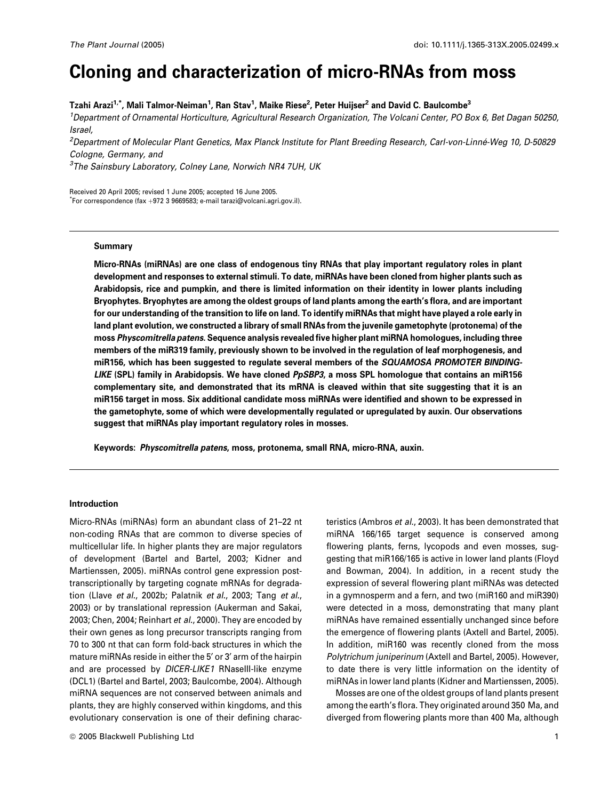# Cloning and characterization of micro-RNAs from moss

Tzahi Arazi $^{1,*}$ , Mali Talmor-Neiman $^{1}$ , Ran Stav $^{1}$ , Maike Riese $^{2}$ , Peter Huijser $^{2}$  and David C. Baulcombe $^{3}$ 

1 Department of Ornamental Horticulture, Agricultural Research Organization, The Volcani Center, PO Box 6, Bet Dagan 50250, Israel,

2 Department of Molecular Plant Genetics, Max Planck Institute for Plant Breeding Research, Carl-von-Linne´-Weg 10, D-50829 Cologne, Germany, and

 $^3$ The Sainsbury Laboratory, Colney Lane, Norwich NR4 7UH, UK

Received 20 April 2005; revised 1 June 2005; accepted 16 June 2005.  $\check{}$ For correspondence (fax +972 3 9669583; e-mail tarazi@volcani.agri.gov.il).

### Summary

Micro-RNAs (miRNAs) are one class of endogenous tiny RNAs that play important regulatory roles in plant development and responses to external stimuli. To date, miRNAs have been cloned from higher plants such as Arabidopsis, rice and pumpkin, and there is limited information on their identity in lower plants including Bryophytes. Bryophytes are among the oldest groups of land plants among the earth's flora, and are important for our understanding of the transition to life on land. To identify miRNAs that might have played a role early in land plant evolution, we constructed a library of small RNAs from the juvenile gametophyte (protonema) of the moss Physcomitrella patens. Sequence analysis revealed five higher plant miRNA homologues, including three members of the miR319 family, previously shown to be involved in the regulation of leaf morphogenesis, and miR156, which has been suggested to regulate several members of the SQUAMOSA PROMOTER BINDING-LIKE (SPL) family in Arabidopsis. We have cloned PpSBP3, a moss SPL homologue that contains an miR156 complementary site, and demonstrated that its mRNA is cleaved within that site suggesting that it is an miR156 target in moss. Six additional candidate moss miRNAs were identified and shown to be expressed in the gametophyte, some of which were developmentally regulated or upregulated by auxin. Our observations suggest that miRNAs play important regulatory roles in mosses.

Keywords: Physcomitrella patens, moss, protonema, small RNA, micro-RNA, auxin.

## Introduction

Micro-RNAs (miRNAs) form an abundant class of 21–22 nt non-coding RNAs that are common to diverse species of multicellular life. In higher plants they are major regulators of development (Bartel and Bartel, 2003; Kidner and Martienssen, 2005). miRNAs control gene expression posttranscriptionally by targeting cognate mRNAs for degradation (Llave et al., 2002b; Palatnik et al., 2003; Tang et al., 2003) or by translational repression (Aukerman and Sakai, 2003; Chen, 2004; Reinhart et al., 2000). They are encoded by their own genes as long precursor transcripts ranging from 70 to 300 nt that can form fold-back structures in which the mature miRNAs reside in either the 5' or 3' arm of the hairpin and are processed by DICER-LIKE1 RNaseIII-like enzyme (DCL1) (Bartel and Bartel, 2003; Baulcombe, 2004). Although miRNA sequences are not conserved between animals and plants, they are highly conserved within kingdoms, and this evolutionary conservation is one of their defining characteristics (Ambros et al., 2003). It has been demonstrated that miRNA 166/165 target sequence is conserved among flowering plants, ferns, lycopods and even mosses, suggesting that miR166/165 is active in lower land plants (Floyd and Bowman, 2004). In addition, in a recent study the expression of several flowering plant miRNAs was detected in a gymnosperm and a fern, and two (miR160 and miR390) were detected in a moss, demonstrating that many plant miRNAs have remained essentially unchanged since before the emergence of flowering plants (Axtell and Bartel, 2005). In addition, miR160 was recently cloned from the moss Polytrichum juniperinum (Axtell and Bartel, 2005). However, to date there is very little information on the identity of miRNAs in lower land plants (Kidner and Martienssen, 2005).

Mosses are one of the oldest groups of land plants present among the earth's flora. They originated around 350 Ma, and diverged from flowering plants more than 400 Ma, although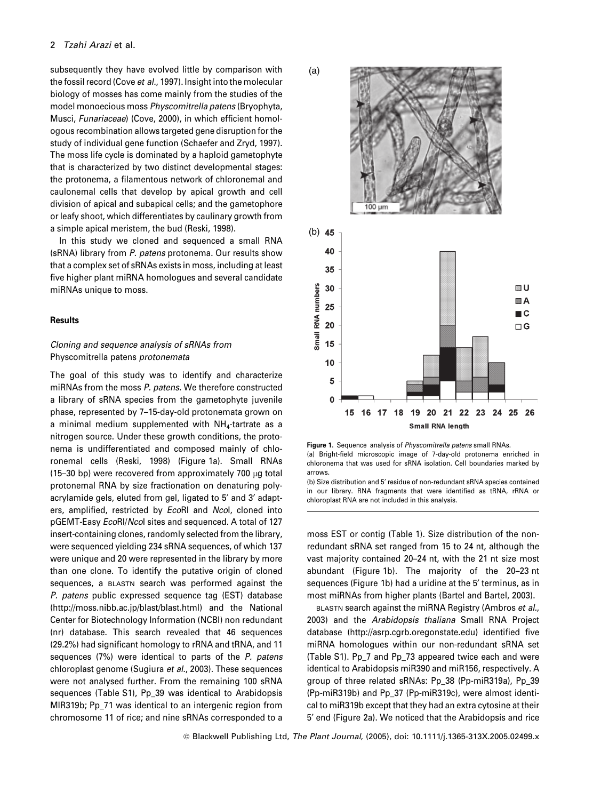subsequently they have evolved little by comparison with the fossil record (Cove et al., 1997). Insight into the molecular biology of mosses has come mainly from the studies of the model monoecious moss Physcomitrella patens (Bryophyta, Musci, Funariaceae) (Cove, 2000), in which efficient homologous recombination allows targeted gene disruption for the study of individual gene function (Schaefer and Zryd, 1997). The moss life cycle is dominated by a haploid gametophyte that is characterized by two distinct developmental stages: the protonema, a filamentous network of chloronemal and caulonemal cells that develop by apical growth and cell division of apical and subapical cells; and the gametophore or leafy shoot, which differentiates by caulinary growth from a simple apical meristem, the bud (Reski, 1998).

In this study we cloned and sequenced a small RNA (sRNA) library from P. patens protonema. Our results show that a complex set of sRNAs exists in moss, including at least five higher plant miRNA homologues and several candidate miRNAs unique to moss.

## **Results**

## Cloning and sequence analysis of sRNAs from Physcomitrella patens protonemata

The goal of this study was to identify and characterize miRNAs from the moss P. patens. We therefore constructed a library of sRNA species from the gametophyte juvenile phase, represented by 7–15-day-old protonemata grown on a minimal medium supplemented with  $NH_{4}$ -tartrate as a nitrogen source. Under these growth conditions, the protonema is undifferentiated and composed mainly of chloronemal cells (Reski, 1998) (Figure 1a). Small RNAs (15-30 bp) were recovered from approximately 700  $\mu$ g total protonemal RNA by size fractionation on denaturing polyacrylamide gels, eluted from gel, ligated to 5' and 3' adapters, amplified, restricted by EcoRI and Ncol, cloned into pGEMT-Easy EcoRI/NcoI sites and sequenced. A total of 127 insert-containing clones, randomly selected from the library, were sequenced yielding 234 sRNA sequences, of which 137 were unique and 20 were represented in the library by more than one clone. To identify the putative origin of cloned sequences, a BLASTN search was performed against the P. patens public expressed sequence tag (EST) database (http://moss.nibb.ac.jp/blast/blast.html) and the National Center for Biotechnology Information (NCBI) non redundant (nr) database. This search revealed that 46 sequences (29.2%) had significant homology to rRNA and tRNA, and 11 sequences (7%) were identical to parts of the P. patens chloroplast genome (Sugiura et al., 2003). These sequences were not analysed further. From the remaining 100 sRNA sequences (Table S1), Pp\_39 was identical to Arabidopsis MIR319b; Pp\_71 was identical to an intergenic region from chromosome 11 of rice; and nine sRNAs corresponded to a



Figure 1. Sequence analysis of Physcomitrella patens small RNAs. (a) Bright-field microscopic image of 7-day-old protonema enriched in chloronema that was used for sRNA isolation. Cell boundaries marked by arrows.

moss EST or contig (Table 1). Size distribution of the nonredundant sRNA set ranged from 15 to 24 nt, although the vast majority contained 20–24 nt, with the 21 nt size most abundant (Figure 1b). The majority of the 20–23 nt sequences (Figure 1b) had a uridine at the 5' terminus, as in most miRNAs from higher plants (Bartel and Bartel, 2003).

BLASTN search against the miRNA Registry (Ambros et al., 2003) and the Arabidopsis thaliana Small RNA Project database (http://asrp.cgrb.oregonstate.edu) identified five miRNA homologues within our non-redundant sRNA set (Table S1). Pp\_7 and Pp\_73 appeared twice each and were identical to Arabidopsis miR390 and miR156, respectively. A group of three related sRNAs: Pp\_38 (Pp-miR319a), Pp\_39 (Pp-miR319b) and Pp\_37 (Pp-miR319c), were almost identical to miR319b except that they had an extra cytosine at their 5¢ end (Figure 2a). We noticed that the Arabidopsis and rice

<sup>(</sup>b) Size distribution and 5' residue of non-redundant sRNA species contained in our library. RNA fragments that were identified as tRNA, rRNA or chloroplast RNA are not included in this analysis.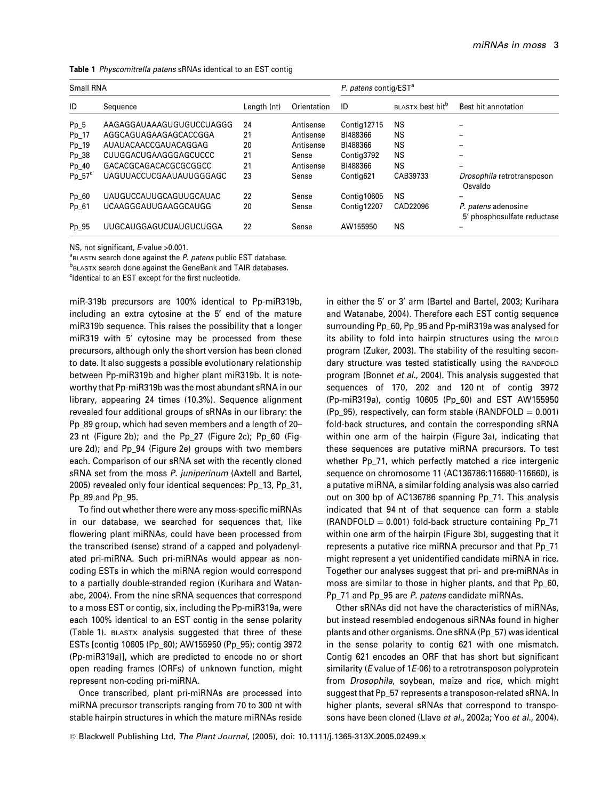|  | Table 1 Physcomitrella patens sRNAs identical to an EST contig |  |  |  |
|--|----------------------------------------------------------------|--|--|--|
|--|----------------------------------------------------------------|--|--|--|

| Small RNA       |                          |             |             | P. patens contig/EST <sup>a</sup> |                              |                                                    |  |
|-----------------|--------------------------|-------------|-------------|-----------------------------------|------------------------------|----------------------------------------------------|--|
| ID              | Sequence                 | Length (nt) | Orientation | ID                                | BLASTX best hit <sup>b</sup> | Best hit annotation                                |  |
| $Pp_5$          | AAGAGGAUAAAGUGUGUCCUAGGG | 24          | Antisense   | Contig12715                       | NS                           |                                                    |  |
| $Pp_1$          | AGGCAGUAGAAGAGCACCGGA    | 21          | Antisense   | BI488366                          | NS                           |                                                    |  |
| $Pp_1$ 19       | AUAUACAACCGAUACAGGAG     | 20          | Antisense   | BI488366                          | NS                           |                                                    |  |
| $Pp_38$         | CUUGGACUGAAGGGAGCUCCC    | 21          | Sense       | Contig3792                        | NS                           |                                                    |  |
| Pp 40           | GACACGCAGACACGCGCGGCC    | 21          | Antisense   | BI488366                          | NS                           |                                                    |  |
| $Pp_57^{\circ}$ | UAGUUACCUCGAAUAUUGGGAGC  | 23          | Sense       | Contig621                         | CAB39733                     | Drosophila retrotransposon<br>Osvaldo              |  |
| $Pp_60$         | UAUGUCCAUUGCAGUUGCAUAC   | 22          | Sense       | Contig10605                       | NS                           | $\overline{\phantom{0}}$                           |  |
| Pp_61           | UCAAGGGAUUGAAGGCAUGG     | 20          | Sense       | Contig12207                       | CAD22096                     | P. patens adenosine<br>5' phosphosulfate reductase |  |
| Pp 95           | UUGCAUGGAGUCUAUGUCUGGA   | 22          | Sense       | AW155950                          | NS                           |                                                    |  |

NS, not significant, E-value > 0.001.

<sup>a</sup> BLASTN search done against the P. patens public EST database.

**b**BLASTX search done against the GeneBank and TAIR databases.

<sup>c</sup>ldentical to an EST except for the first nucleotide.

miR-319b precursors are 100% identical to Pp-miR319b, including an extra cytosine at the 5' end of the mature miR319b sequence. This raises the possibility that a longer miR319 with 5' cytosine may be processed from these precursors, although only the short version has been cloned to date. It also suggests a possible evolutionary relationship between Pp-miR319b and higher plant miR319b. It is noteworthy that Pp-miR319b was the most abundant sRNA in our library, appearing 24 times (10.3%). Sequence alignment revealed four additional groups of sRNAs in our library: the Pp\_89 group, which had seven members and a length of 20– 23 nt (Figure 2b); and the Pp\_27 (Figure 2c); Pp\_60 (Figure 2d); and Pp\_94 (Figure 2e) groups with two members each. Comparison of our sRNA set with the recently cloned sRNA set from the moss P. juniperinum (Axtell and Bartel, 2005) revealed only four identical sequences: Pp\_13, Pp\_31, Pp\_89 and Pp\_95.

To find out whether there were any moss-specific miRNAs in our database, we searched for sequences that, like flowering plant miRNAs, could have been processed from the transcribed (sense) strand of a capped and polyadenylated pri-miRNA. Such pri-miRNAs would appear as noncoding ESTs in which the miRNA region would correspond to a partially double-stranded region (Kurihara and Watanabe, 2004). From the nine sRNA sequences that correspond to a moss EST or contig, six, including the Pp-miR319a, were each 100% identical to an EST contig in the sense polarity (Table 1). BLASTX analysis suggested that three of these ESTs [contig 10605 (Pp\_60); AW155950 (Pp\_95); contig 3972 (Pp-miR319a)], which are predicted to encode no or short open reading frames (ORFs) of unknown function, might represent non-coding pri-miRNA.

Once transcribed, plant pri-miRNAs are processed into miRNA precursor transcripts ranging from 70 to 300 nt with stable hairpin structures in which the mature miRNAs reside in either the 5' or 3' arm (Bartel and Bartel, 2003; Kurihara and Watanabe, 2004). Therefore each EST contig sequence surrounding Pp\_60, Pp\_95 and Pp-miR319a was analysed for its ability to fold into hairpin structures using the MFOLD program (Zuker, 2003). The stability of the resulting secondary structure was tested statistically using the RANDFOLD program (Bonnet et al., 2004). This analysis suggested that sequences of 170, 202 and 120 nt of contig 3972 (Pp-miR319a), contig 10605 (Pp\_60) and EST AW155950 (Pp\_95), respectively, can form stable (RANDFOLD  $= 0.001$ ) fold-back structures, and contain the corresponding sRNA within one arm of the hairpin (Figure 3a), indicating that these sequences are putative miRNA precursors. To test whether Pp 71, which perfectly matched a rice intergenic sequence on chromosome 11 (AC136786:116680-116660), is a putative miRNA, a similar folding analysis was also carried out on 300 bp of AC136786 spanning Pp\_71. This analysis indicated that 94 nt of that sequence can form a stable  $(RANDFOLD = 0.001)$  fold-back structure containing Pp\_71 within one arm of the hairpin (Figure 3b), suggesting that it represents a putative rice miRNA precursor and that Pp\_71 might represent a yet unidentified candidate miRNA in rice. Together our analyses suggest that pri- and pre-miRNAs in moss are similar to those in higher plants, and that Pp\_60, Pp\_71 and Pp\_95 are P. patens candidate miRNAs.

Other sRNAs did not have the characteristics of miRNAs, but instead resembled endogenous siRNAs found in higher plants and other organisms. One sRNA (Pp\_57) was identical in the sense polarity to contig 621 with one mismatch. Contig 621 encodes an ORF that has short but significant similarity (*E* value of 1*E*-06) to a retrotransposon polyprotein from Drosophila, soybean, maize and rice, which might suggest that Pp\_57 represents a transposon-related sRNA. In higher plants, several sRNAs that correspond to transposons have been cloned (Llave et al., 2002a; Yoo et al., 2004).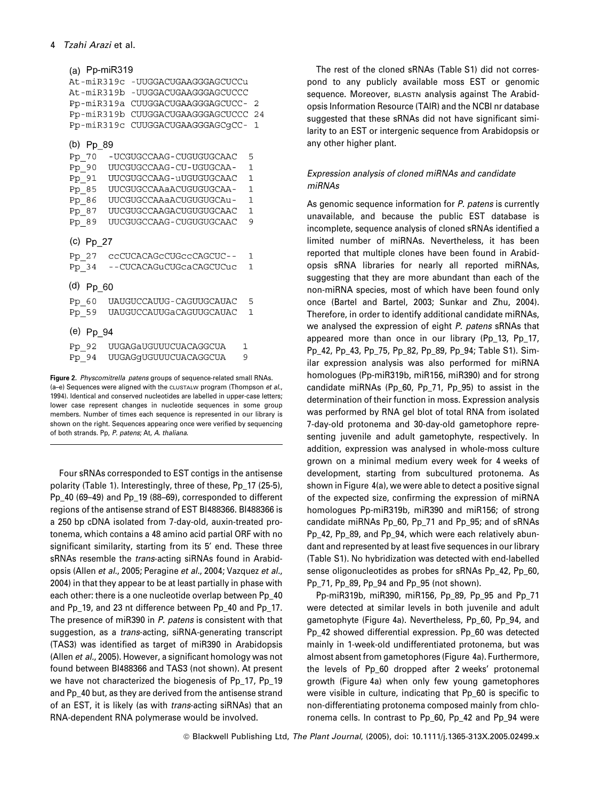| (a) Pp-miR319                    |                              |                       |  |              |          |
|----------------------------------|------------------------------|-----------------------|--|--------------|----------|
| At-miR319c -UUGGACUGAAGGGAGCUCCu |                              |                       |  |              |          |
| At-miR319b                       |                              | -UUGGACUGAAGGGAGCUCCC |  |              |          |
| Pp-miR319a                       |                              | CUUGGACUGAAGGGAGCUCC- |  |              | 2        |
| Pp-miR319b                       |                              | CUUGGACUGAAGGGAGCUCCC |  |              | 24       |
| Pp-miR319c                       |                              | CUUGGACUGAAGGGAGCqCC- |  |              | 1        |
| (b) Pp 89                        |                              |                       |  |              |          |
|                                  | -UCGUGCCAAG-CUGUGUGCAAC      |                       |  | 5            |          |
| Pp 70                            | UUCGUGCCAAG - CU - UGUGCAA - |                       |  | $\mathbf{1}$ |          |
| Pp 90                            |                              |                       |  | $\mathbf{1}$ |          |
| Pp 91                            | UUCGUGCCAAG-uUGUGUGCAAC      |                       |  |              |          |
| Pp 85                            | UUCGUGCCAAaACUGUGUGCAA -     |                       |  | 1            |          |
| Pp 86                            | UUCGUGCCAAaACUGUGUGCAu-      |                       |  | 1            |          |
| $Pp_87$                          | UUCGUGCCAAGACUGUGUGCAAC      |                       |  | $\mathbf{1}$ |          |
| Pp 89                            | UUCGUGCCAAG-CUGUGUGCAAC      |                       |  | 9            |          |
| (c) Pp 27                        |                              |                       |  |              |          |
| Pp 27                            | ccCUCACAGcCUGccCAGCUC--      |                       |  | $\mathbf{1}$ |          |
| $Pp_34$                          | --CUCACAGuCUGcaCAGCUCuc      |                       |  | 1            |          |
| (d) Pp 60                        |                              |                       |  |              |          |
| Pp 60                            | UAUGUCCAUUG-CAGUUGCAUAC      |                       |  | 5            |          |
| Pp 59                            | UAUGUCCAUUGaCAGUUGCAUAC      |                       |  | $\mathbf{1}$ |          |
|                                  |                              |                       |  |              |          |
| (e) Pp 94                        |                              |                       |  |              |          |
| Pp 92                            | UUGAGaUGUUUCUACAGGCUA        |                       |  | 1            |          |
| $Pp_94$                          | UUGAGGUGUUUCUACAGGCUA        |                       |  | 9            |          |
| $\sim$                           |                              |                       |  |              | $\cdots$ |

Figure 2. Physcomitrella patens groups of sequence-related small RNAs.  $(a-e)$  Sequences were aligned with the CLUSTALW program (Thompson *et al.*, 1994). Identical and conserved nucleotides are labelled in upper-case letters; lower case represent changes in nucleotide sequences in some group members. Number of times each sequence is represented in our library is shown on the right. Sequences appearing once were verified by sequencing of both strands. Pp, P. patens; At, A. thaliana.

Four sRNAs corresponded to EST contigs in the antisense polarity (Table 1). Interestingly, three of these, Pp\_17 (25-5), Pp\_40 (69–49) and Pp\_19 (88–69), corresponded to different regions of the antisense strand of EST BI488366. BI488366 is a 250 bp cDNA isolated from 7-day-old, auxin-treated protonema, which contains a 48 amino acid partial ORF with no significant similarity, starting from its 5' end. These three sRNAs resemble the *trans*-acting siRNAs found in Arabidopsis (Allen et al., 2005; Peragine et al., 2004; Vazquez et al., 2004) in that they appear to be at least partially in phase with each other: there is a one nucleotide overlap between Pp\_40 and Pp\_19, and 23 nt difference between Pp\_40 and Pp\_17. The presence of miR390 in P. patens is consistent with that suggestion, as a trans-acting, siRNA-generating transcript (TAS3) was identified as target of miR390 in Arabidopsis (Allen et al., 2005). However, a significant homology was not found between BI488366 and TAS3 (not shown). At present we have not characterized the biogenesis of Pp\_17, Pp\_19 and Pp\_40 but, as they are derived from the antisense strand of an EST, it is likely (as with trans-acting siRNAs) that an RNA-dependent RNA polymerase would be involved.

The rest of the cloned sRNAs (Table S1) did not correspond to any publicly available moss EST or genomic sequence. Moreover, BLASTN analysis against The Arabidopsis Information Resource (TAIR) and the NCBI nr database suggested that these sRNAs did not have significant similarity to an EST or intergenic sequence from Arabidopsis or any other higher plant.

# Expression analysis of cloned miRNAs and candidate miRNAs

As genomic sequence information for P. patens is currently unavailable, and because the public EST database is incomplete, sequence analysis of cloned sRNAs identified a limited number of miRNAs. Nevertheless, it has been reported that multiple clones have been found in Arabidopsis sRNA libraries for nearly all reported miRNAs, suggesting that they are more abundant than each of the non-miRNA species, most of which have been found only once (Bartel and Bartel, 2003; Sunkar and Zhu, 2004). Therefore, in order to identify additional candidate miRNAs, we analysed the expression of eight P. patens sRNAs that appeared more than once in our library (Pp\_13, Pp\_17, Pp\_42, Pp\_43, Pp\_75, Pp\_82, Pp\_89, Pp\_94; Table S1). Similar expression analysis was also performed for miRNA homologues (Pp-miR319b, miR156, miR390) and for strong candidate miRNAs (Pp\_60, Pp\_71, Pp\_95) to assist in the determination of their function in moss. Expression analysis was performed by RNA gel blot of total RNA from isolated 7-day-old protonema and 30-day-old gametophore representing juvenile and adult gametophyte, respectively. In addition, expression was analysed in whole-moss culture grown on a minimal medium every week for 4 weeks of development, starting from subcultured protonema. As shown in Figure 4(a), we were able to detect a positive signal of the expected size, confirming the expression of miRNA homologues Pp-miR319b, miR390 and miR156; of strong candidate miRNAs Pp\_60, Pp\_71 and Pp\_95; and of sRNAs Pp\_42, Pp\_89, and Pp\_94, which were each relatively abundant and represented by at least five sequences in our library (Table S1). No hybridization was detected with end-labelled sense oligonucleotides as probes for sRNAs Pp\_42, Pp\_60, Pp\_71, Pp\_89, Pp\_94 and Pp\_95 (not shown).

Pp-miR319b, miR390, miR156, Pp\_89, Pp\_95 and Pp\_71 were detected at similar levels in both juvenile and adult gametophyte (Figure 4a). Nevertheless, Pp\_60, Pp\_94, and Pp\_42 showed differential expression. Pp\_60 was detected mainly in 1-week-old undifferentiated protonema, but was almost absent from gametophores (Figure 4a). Furthermore, the levels of Pp\_60 dropped after 2 weeks' protonemal growth (Figure 4a) when only few young gametophores were visible in culture, indicating that Pp 60 is specific to non-differentiating protonema composed mainly from chloronema cells. In contrast to Pp\_60, Pp\_42 and Pp\_94 were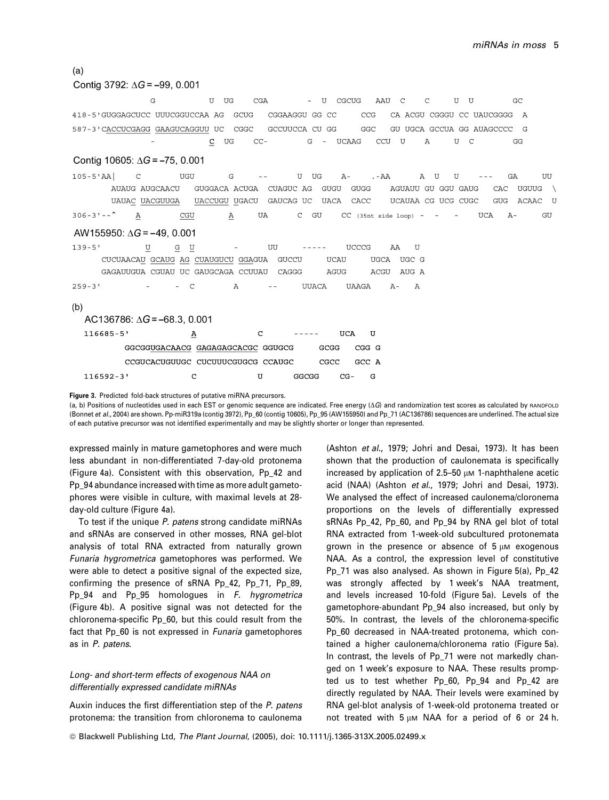## $(a)$

## Contig 3792:  $\Delta G = -99$ , 0.001

G  $\mathbf U$  $\Pi$ G CGA  $\overline{11}$ CGCUG AAU  $\overline{C}$  $\overline{C}$  $\mathbf{U}$  $\mathbf{U}$ GC 418-5'GUGGAGCUCC UUUCGGUCCAA AG GCUG CGGAAGGU GG  $CC$ CCG CA ACGU CGGGU CC UAUCGGGG  $\overline{A}$ 587-3'CACCUCGAGG GAAGUCAGGUU UC CGGC GCCUUCCA CU GG GGC GU UGCA GCCUA GG AUAGCCCC G  $\mathbf C$ UG  $CC -$ G UCAAG CCU  $\mathbf{U}$  $\overline{A}$ U  $\mathsf{C}$ GG

## Contig 10605:  $\Delta G = -75$ , 0.001

 $105 - 5$ 'AA  $\subset$ TIGH  $\overline{G}$  $\mathbf{H}$ **TIG**  $A - A A$  $\mathbb{A}$  $\mathbf{I}$  $\overline{1}$  $G\Delta$ TITT AUAUG AUGCAACU GUGGACA ACUGA CUAGUC AG GUGU GUGG AGUAUU GU GGU GAUG CAC UGUUG  $\lambda$ UCAUAA CG UCG CUGC UAUAC UACGUUGA UACCUGU UGACU GAUCAG UC **UACA** CACC **GUG** ACAAC ្រ  $306 - 3 - -$ CGU UA  $\mathbf C$ GU CC (35nt side loop) UCA  $A -$ GU A Α

## AW155950:  $\Delta G = -49$ , 0.001

 $139 - 5'$  $\mathtt U$  ${\bf G}$ U UU  $- - - - -$ UCCCG AA U UCAU CUCUAACAU GCAUG AG CUAUGUCU GGAGUA GUCCU **UGCA** UGC G GAGAUUGUA CGUAU UC GAUGCAGA CCUUAU AGUG CAGGG ACGU AUG A  $259 - 3$  $\mathcal{C}$  $\overline{A}$ **UUACA UAAGA**  $A \mathbf{A}$ 

### $(b)$

| AC136786: $\Delta G$ = -68.3, 0.001 |  |                                   |   |               |       |            |       |   |
|-------------------------------------|--|-----------------------------------|---|---------------|-------|------------|-------|---|
| 116685-5'                           |  | А                                 | C | $- - - - - -$ |       | <b>HCA</b> |       | П |
|                                     |  | GGCGGUGACAACG GAGAGAGCACGC GGUGCG |   |               | GCGG  |            | CGG G |   |
|                                     |  | CCGUCACUGUUGC CUCUUUCGUGCG CCAUGC |   |               | CGCC. |            | GCC A |   |
| $116592 - 3$ '                      |  | r                                 | П | GGCGG         |       | $CG-$      |       |   |

#### Figure 3. Predicted fold-back structures of putative miRNA precursors.

(a, b) Positions of nucleotides used in each EST or genomic sequence are indicated. Free energy  $(\Delta G)$  and randomization test scores as calculated by RANDFOLD (Bonnet et al., 2004) are shown. Pp-miR319a (contig 3972), Pp\_60 (contig 10605), Pp\_95 (AW155950) and Pp\_71 (AC136786) sequences are underlined. The actual size of each putative precursor was not identified experimentally and may be slightly shorter or longer than represented.

expressed mainly in mature gametophores and were much less abundant in non-differentiated 7-day-old protonema (Figure 4a). Consistent with this observation, Pp\_42 and Pp\_94 abundance increased with time as more adult gametophores were visible in culture, with maximal levels at 28 day-old culture (Figure 4a).

To test if the unique P. patens strong candidate miRNAs and sRNAs are conserved in other mosses, RNA gel-blot analysis of total RNA extracted from naturally grown Funaria hygrometrica gametophores was performed. We were able to detect a positive signal of the expected size, confirming the presence of sRNA Pp\_42, Pp\_71, Pp\_89, Pp\_94 and Pp\_95 homologues in F. hygrometrica (Figure 4b). A positive signal was not detected for the chloronema-specific Pp\_60, but this could result from the fact that Pp\_60 is not expressed in Funaria gametophores as in P. patens.

## Long- and short-term effects of exogenous NAA on differentially expressed candidate miRNAs

Auxin induces the first differentiation step of the P. patens protonema: the transition from chloronema to caulonema

(Ashton et al., 1979; Johri and Desai, 1973). It has been shown that the production of caulonemata is specifically increased by application of 2.5-50  $\mu$ m 1-naphthalene acetic acid (NAA) (Ashton et al., 1979; Johri and Desai, 1973). We analysed the effect of increased caulonema/cloronema proportions on the levels of differentially expressed sRNAs Pp\_42, Pp\_60, and Pp\_94 by RNA gel blot of total RNA extracted from 1-week-old subcultured protonemata grown in the presence or absence of 5 um exogenous NAA. As a control, the expression level of constitutive Pp\_71 was also analysed. As shown in Figure 5(a), Pp\_42 was strongly affected by 1 week's NAA treatment, and levels increased 10-fold (Figure 5a). Levels of the gametophore-abundant Pp\_94 also increased, but only by 50%. In contrast, the levels of the chloronema-specific Pp\_60 decreased in NAA-treated protonema, which contained a higher caulonema/chloronema ratio (Figure 5a). In contrast, the levels of Pp\_71 were not markedly changed on 1 week's exposure to NAA. These results prompted us to test whether Pp\_60, Pp\_94 and Pp\_42 are directly regulated by NAA. Their levels were examined by RNA gel-blot analysis of 1-week-old protonema treated or not treated with  $5 \mu M$  NAA for a period of 6 or 24 h.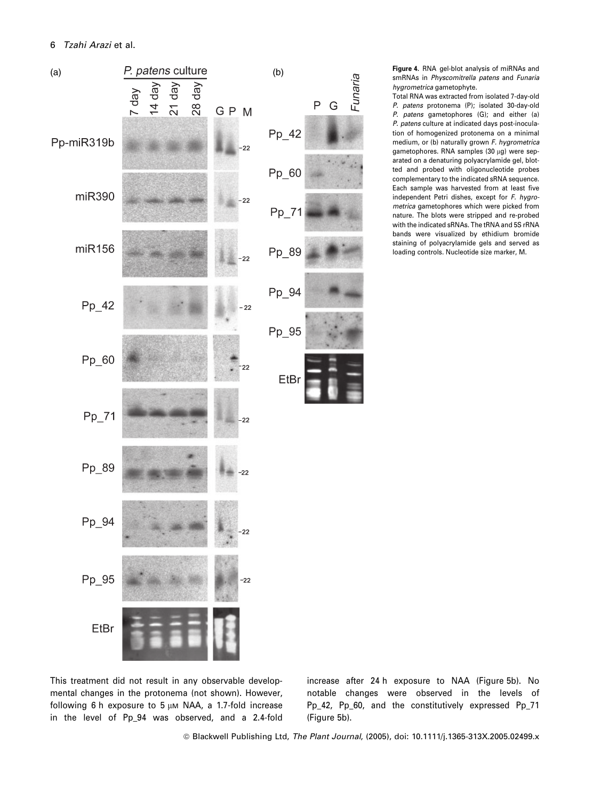

smRNAs in Physcomitrella patens and Funaria hygrometrica gametophyte.

Total RNA was extracted from isolated 7-day-old P. patens protonema (P); isolated 30-day-old P. patens gametophores (G); and either (a) P. patens culture at indicated days post-inoculation of homogenized protonema on a minimal medium, or (b) naturally grown F. hygrometrica gametophores. RNA samples (30 µg) were separated on a denaturing polyacrylamide gel, blotted and probed with oligonucleotide probes complementary to the indicated sRNA sequence. Each sample was harvested from at least five independent Petri dishes, except for F. hygrometrica gametophores which were picked from nature. The blots were stripped and re-probed with the indicated sRNAs. The tRNA and 5S rRNA bands were visualized by ethidium bromide staining of polyacrylamide gels and served as loading controls. Nucleotide size marker, M.

This treatment did not result in any observable developmental changes in the protonema (not shown). However, following 6 h exposure to 5  $\mu$ M NAA, a 1.7-fold increase in the level of Pp\_94 was observed, and a 2.4-fold increase after 24 h exposure to NAA (Figure 5b). No notable changes were observed in the levels of Pp\_42, Pp\_60, and the constitutively expressed Pp\_71 (Figure 5b).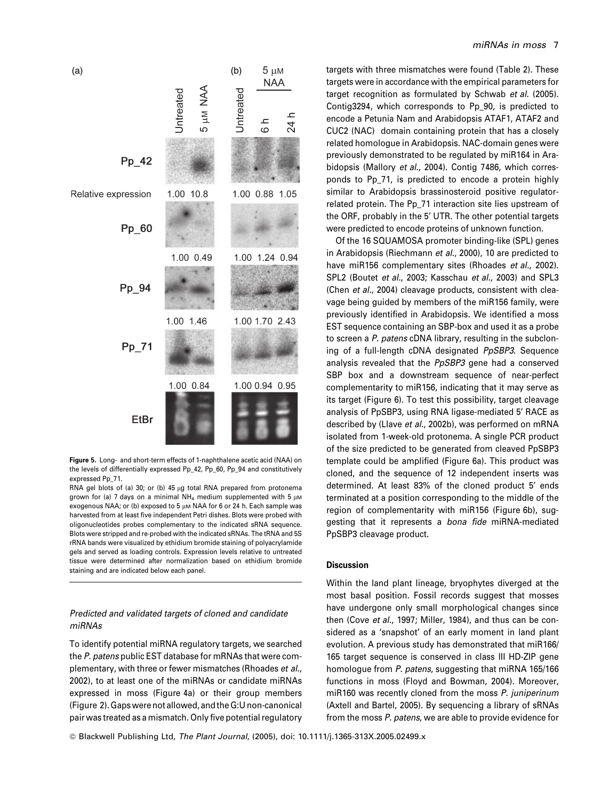

Figure 5. Long- and short-term effects of 1-naphthalene acetic acid (NAA) on the levels of differentially expressed Pp\_42, Pp\_60, Pp\_94 and constitutively expressed Pp\_71.

RNA gel blots of (a) 30; or (b) 45 µg total RNA prepared from protonema grown for (a) 7 days on a minimal NH<sub>4</sub> medium supplemented with 5  $\mu$ M exogenous NAA; or (b) exposed to 5  $\mu$ m NAA for 6 or 24 h. Each sample was harvested from at least five independent Petri dishes. Blots were probed with oligonucleotides probes complementary to the indicated sRNA sequence. Blots were stripped and re-probed with the indicated sRNAs. The tRNA and 5S rRNA bands were visualized by ethidium bromide staining of polyacrylamide gels and served as loading controls. Expression levels relative to untreated tissue were determined after normalization based on ethidium bromide staining and are indicated below each panel.

## Predicted and validated targets of cloned and candidate miRNAs

To identify potential miRNA regulatory targets, we searched the P. patens public EST database for mRNAs that were complementary, with three or fewer mismatches (Rhoades et al., 2002), to at least one of the miRNAs or candidate miRNAs expressed in moss (Figure 4a) or their group members (Figure 2). Gaps were not allowed, and the G:U non-canonical pair was treated as a mismatch. Only five potential regulatory

## miRNAs in moss 7

targets with three mismatches were found (Table 2). These targets were in accordance with the empirical parameters for target recognition as formulated by Schwab et al. (2005). Contig3294, which corresponds to Pp\_90, is predicted to encode a Petunia Nam and Arabidopsis ATAF1, ATAF2 and CUC2 (NAC) domain containing protein that has a closely related homologue in Arabidopsis. NAC-domain genes were previously demonstrated to be regulated by miR164 in Arabidopsis (Mallory et al., 2004). Contig 7486, which corresponds to Pp\_71, is predicted to encode a protein highly similar to Arabidopsis brassinosteroid positive regulatorrelated protein. The Pp\_71 interaction site lies upstream of the ORF, probably in the 5' UTR. The other potential targets were predicted to encode proteins of unknown function.

Of the 16 SQUAMOSA promoter binding-like (SPL) genes in Arabidopsis (Riechmann et al., 2000), 10 are predicted to have miR156 complementary sites (Rhoades et al., 2002). SPL2 (Boutet et al., 2003; Kasschau et al., 2003) and SPL3 (Chen et al., 2004) cleavage products, consistent with cleavage being guided by members of the miR156 family, were previously identified in Arabidopsis. We identified a moss EST sequence containing an SBP-box and used it as a probe to screen a P. patens cDNA library, resulting in the subcloning of a full-length cDNA designated PpSBP3. Sequence analysis revealed that the PpSBP3 gene had a conserved SBP box and a downstream sequence of near-perfect complementarity to miR156, indicating that it may serve as its target (Figure 6). To test this possibility, target cleavage analysis of PpSBP3, using RNA ligase-mediated 5¢ RACE as described by (Llave et al., 2002b), was performed on mRNA isolated from 1-week-old protonema. A single PCR product of the size predicted to be generated from cleaved PpSBP3 template could be amplified (Figure 6a). This product was cloned, and the sequence of 12 independent inserts was determined. At least 83% of the cloned product 5' ends terminated at a position corresponding to the middle of the region of complementarity with miR156 (Figure 6b), suggesting that it represents a bona fide miRNA-mediated PpSBP3 cleavage product.

## **Discussion**

Within the land plant lineage, bryophytes diverged at the most basal position. Fossil records suggest that mosses have undergone only small morphological changes since then (Cove et al., 1997; Miller, 1984), and thus can be considered as a 'snapshot' of an early moment in land plant evolution. A previous study has demonstrated that miR166/ 165 target sequence is conserved in class III HD-ZIP gene homologue from P. patens, suggesting that miRNA 165/166 functions in moss (Floyd and Bowman, 2004). Moreover, miR160 was recently cloned from the moss P. juniperinum (Axtell and Bartel, 2005). By sequencing a library of sRNAs from the moss P. patens, we are able to provide evidence for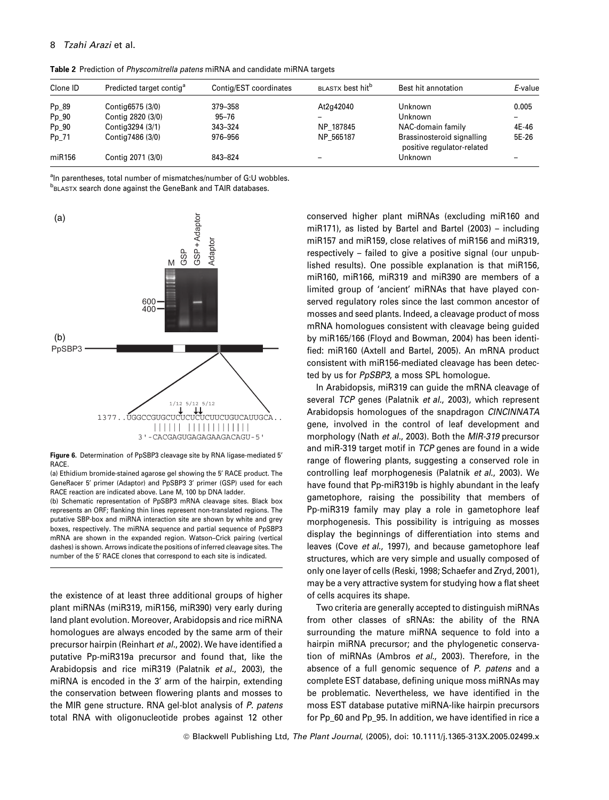## 8 Tzahi Arazi et al.

Table 2 Prediction of Physcomitrella patens miRNA and candidate miRNA targets

| Clone ID | Predicted target contig <sup>a</sup> | Contig/EST coordinates | BLASTX best hit <sup>b</sup> | Best hit annotation                                      | E-value |
|----------|--------------------------------------|------------------------|------------------------------|----------------------------------------------------------|---------|
| Pp 89    | Contig6575 (3/0)                     | 379-358                | At2g42040                    | Unknown                                                  | 0.005   |
| $Pp_90$  | Contig 2820 (3/0)                    | $95 - 76$              |                              | Unknown                                                  |         |
| $Pp_90$  | Contig3294 (3/1)                     | 343-324                | NP 187845                    | NAC-domain family                                        | 4E-46   |
| Pp 71    | Contig7486 (3/0)                     | 976–956                | NP 565187                    | Brassinosteroid signalling<br>positive regulator-related | 5E-26   |
| miR156   | Contig 2071 (3/0)                    | 843-824                |                              | Unknown                                                  |         |

<sup>a</sup>In parentheses, total number of mismatches/number of G:U wobbles. **b**BLASTX search done against the GeneBank and TAIR databases.



Figure 6. Determination of PpSBP3 cleavage site by RNA ligase-mediated 5<sup>*'*</sup> RACE.

(a) Ethidium bromide-stained agarose gel showing the 5' RACE product. The GeneRacer 5' primer (Adaptor) and PpSBP3 3' primer (GSP) used for each RACE reaction are indicated above. Lane M, 100 bp DNA ladder. (b) Schematic representation of PpSBP3 mRNA cleavage sites. Black box represents an ORF; flanking thin lines represent non-translated regions. The putative SBP-box and miRNA interaction site are shown by white and grey

boxes, respectively. The miRNA sequence and partial sequence of PpSBP3 mRNA are shown in the expanded region. Watson–Crick pairing (vertical dashes) is shown. Arrows indicate the positions of inferred cleavage sites. The number of the 5' RACE clones that correspond to each site is indicated.

the existence of at least three additional groups of higher plant miRNAs (miR319, miR156, miR390) very early during land plant evolution. Moreover, Arabidopsis and rice miRNA homologues are always encoded by the same arm of their precursor hairpin (Reinhart et al., 2002). We have identified a putative Pp-miR319a precursor and found that, like the Arabidopsis and rice miR319 (Palatnik et al., 2003), the miRNA is encoded in the 3' arm of the hairpin, extending the conservation between flowering plants and mosses to the MIR gene structure. RNA gel-blot analysis of P. patens total RNA with oligonucleotide probes against 12 other conserved higher plant miRNAs (excluding miR160 and miR171), as listed by Bartel and Bartel (2003) – including miR157 and miR159, close relatives of miR156 and miR319, respectively – failed to give a positive signal (our unpublished results). One possible explanation is that miR156, miR160, miR166, miR319 and miR390 are members of a limited group of 'ancient' miRNAs that have played conserved regulatory roles since the last common ancestor of mosses and seed plants. Indeed, a cleavage product of moss mRNA homologues consistent with cleavage being guided by miR165/166 (Floyd and Bowman, 2004) has been identified: miR160 (Axtell and Bartel, 2005). An mRNA product consistent with miR156-mediated cleavage has been detected by us for PpSBP3, a moss SPL homologue.

In Arabidopsis, miR319 can guide the mRNA cleavage of several TCP genes (Palatnik et al., 2003), which represent Arabidopsis homologues of the snapdragon CINCINNATA gene, involved in the control of leaf development and morphology (Nath et al., 2003). Both the MIR-319 precursor and miR-319 target motif in TCP genes are found in a wide range of flowering plants, suggesting a conserved role in controlling leaf morphogenesis (Palatnik et al., 2003). We have found that Pp-miR319b is highly abundant in the leafy gametophore, raising the possibility that members of Pp-miR319 family may play a role in gametophore leaf morphogenesis. This possibility is intriguing as mosses display the beginnings of differentiation into stems and leaves (Cove et al., 1997), and because gametophore leaf structures, which are very simple and usually composed of only one layer of cells (Reski, 1998; Schaefer and Zryd, 2001), may be a very attractive system for studying how a flat sheet of cells acquires its shape.

Two criteria are generally accepted to distinguish miRNAs from other classes of sRNAs: the ability of the RNA surrounding the mature miRNA sequence to fold into a hairpin miRNA precursor; and the phylogenetic conservation of miRNAs (Ambros et al., 2003). Therefore, in the absence of a full genomic sequence of P. patens and a complete EST database, defining unique moss miRNAs may be problematic. Nevertheless, we have identified in the moss EST database putative miRNA-like hairpin precursors for Pp\_60 and Pp\_95. In addition, we have identified in rice a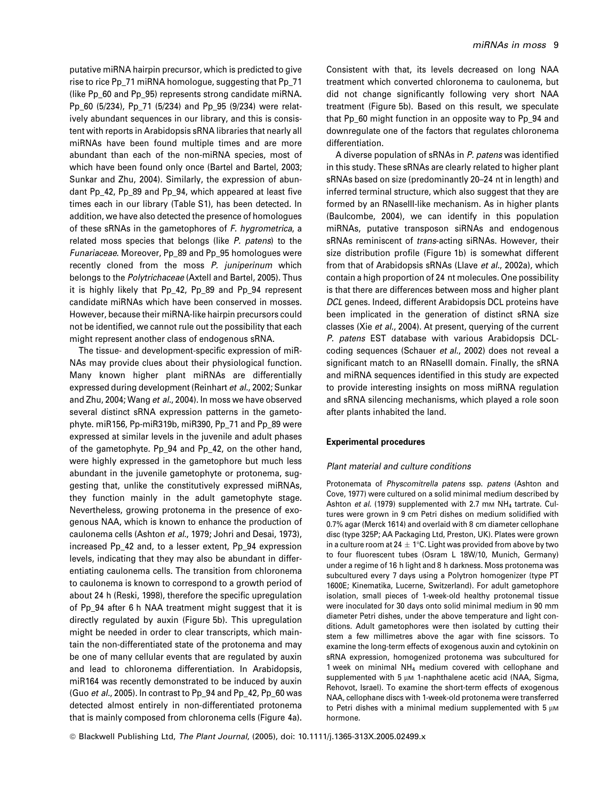putative miRNA hairpin precursor, which is predicted to give rise to rice Pp\_71 miRNA homologue, suggesting that Pp\_71 (like Pp\_60 and Pp\_95) represents strong candidate miRNA. Pp\_60 (5/234), Pp\_71 (5/234) and Pp\_95 (9/234) were relatively abundant sequences in our library, and this is consistent with reports in Arabidopsis sRNA libraries that nearly all miRNAs have been found multiple times and are more abundant than each of the non-miRNA species, most of which have been found only once (Bartel and Bartel, 2003; Sunkar and Zhu, 2004). Similarly, the expression of abundant Pp\_42, Pp\_89 and Pp\_94, which appeared at least five times each in our library (Table S1), has been detected. In addition, we have also detected the presence of homologues of these sRNAs in the gametophores of F. hygrometrica, a related moss species that belongs (like P. patens) to the Funariaceae. Moreover, Pp\_89 and Pp\_95 homologues were recently cloned from the moss P. juniperinum which belongs to the Polytrichaceae (Axtell and Bartel, 2005). Thus it is highly likely that Pp\_42, Pp\_89 and Pp\_94 represent candidate miRNAs which have been conserved in mosses. However, because their miRNA-like hairpin precursors could not be identified, we cannot rule out the possibility that each might represent another class of endogenous sRNA.

The tissue- and development-specific expression of miR-NAs may provide clues about their physiological function. Many known higher plant miRNAs are differentially expressed during development (Reinhart et al., 2002; Sunkar and Zhu, 2004; Wang et al., 2004). In moss we have observed several distinct sRNA expression patterns in the gametophyte. miR156, Pp-miR319b, miR390, Pp\_71 and Pp\_89 were expressed at similar levels in the juvenile and adult phases of the gametophyte. Pp\_94 and Pp\_42, on the other hand, were highly expressed in the gametophore but much less abundant in the juvenile gametophyte or protonema, suggesting that, unlike the constitutively expressed miRNAs, they function mainly in the adult gametophyte stage. Nevertheless, growing protonema in the presence of exogenous NAA, which is known to enhance the production of caulonema cells (Ashton et al., 1979; Johri and Desai, 1973), increased Pp\_42 and, to a lesser extent, Pp\_94 expression levels, indicating that they may also be abundant in differentiating caulonema cells. The transition from chloronema to caulonema is known to correspond to a growth period of about 24 h (Reski, 1998), therefore the specific upregulation of Pp 94 after 6 h NAA treatment might suggest that it is directly regulated by auxin (Figure 5b). This upregulation might be needed in order to clear transcripts, which maintain the non-differentiated state of the protonema and may be one of many cellular events that are regulated by auxin and lead to chloronema differentiation. In Arabidopsis, miR164 was recently demonstrated to be induced by auxin (Guo et al., 2005). In contrast to Pp\_94 and Pp\_42, Pp\_60 was detected almost entirely in non-differentiated protonema that is mainly composed from chloronema cells (Figure 4a).

Consistent with that, its levels decreased on long NAA treatment which converted chloronema to caulonema, but did not change significantly following very short NAA treatment (Figure 5b). Based on this result, we speculate that Pp\_60 might function in an opposite way to Pp\_94 and downregulate one of the factors that regulates chloronema differentiation.

A diverse population of sRNAs in P. patens was identified in this study. These sRNAs are clearly related to higher plant sRNAs based on size (predominantly 20–24 nt in length) and inferred terminal structure, which also suggest that they are formed by an RNaseIII-like mechanism. As in higher plants (Baulcombe, 2004), we can identify in this population miRNAs, putative transposon siRNAs and endogenous sRNAs reminiscent of trans-acting siRNAs. However, their size distribution profile (Figure 1b) is somewhat different from that of Arabidopsis sRNAs (Llave et al., 2002a), which contain a high proportion of 24 nt molecules. One possibility is that there are differences between moss and higher plant DCL genes. Indeed, different Arabidopsis DCL proteins have been implicated in the generation of distinct sRNA size classes (Xie et al., 2004). At present, querying of the current P. patens EST database with various Arabidopsis DCLcoding sequences (Schauer et al., 2002) does not reveal a significant match to an RNaseIII domain. Finally, the sRNA and miRNA sequences identified in this study are expected to provide interesting insights on moss miRNA regulation and sRNA silencing mechanisms, which played a role soon after plants inhabited the land.

### Experimental procedures

#### Plant material and culture conditions

Protonemata of Physcomitrella patens ssp. patens (Ashton and Cove, 1977) were cultured on a solid minimal medium described by Ashton et al. (1979) supplemented with 2.7 mm  $NH<sub>4</sub>$  tartrate. Cultures were grown in 9 cm Petri dishes on medium solidified with 0.7% agar (Merck 1614) and overlaid with 8 cm diameter cellophane disc (type 325P; AA Packaging Ltd, Preston, UK). Plates were grown in a culture room at 24  $\pm$  1°C. Light was provided from above by two to four fluorescent tubes (Osram L 18W/10, Munich, Germany) under a regime of 16 h light and 8 h darkness. Moss protonema was subcultured every 7 days using a Polytron homogenizer (type PT 1600E; Kinematika, Lucerne, Switzerland). For adult gametophore isolation, small pieces of 1-week-old healthy protonemal tissue were inoculated for 30 days onto solid minimal medium in 90 mm diameter Petri dishes, under the above temperature and light conditions. Adult gametophores were then isolated by cutting their stem a few millimetres above the agar with fine scissors. To examine the long-term effects of exogenous auxin and cytokinin on sRNA expression, homogenized protonema was subcultured for 1 week on minimal NH4 medium covered with cellophane and supplemented with  $5 \mu M$  1-naphthalene acetic acid (NAA, Sigma, Rehovot, Israel). To examine the short-term effects of exogenous NAA, cellophane discs with 1-week-old protonema were transferred to Petri dishes with a minimal medium supplemented with 5  $\mu$ M hormone.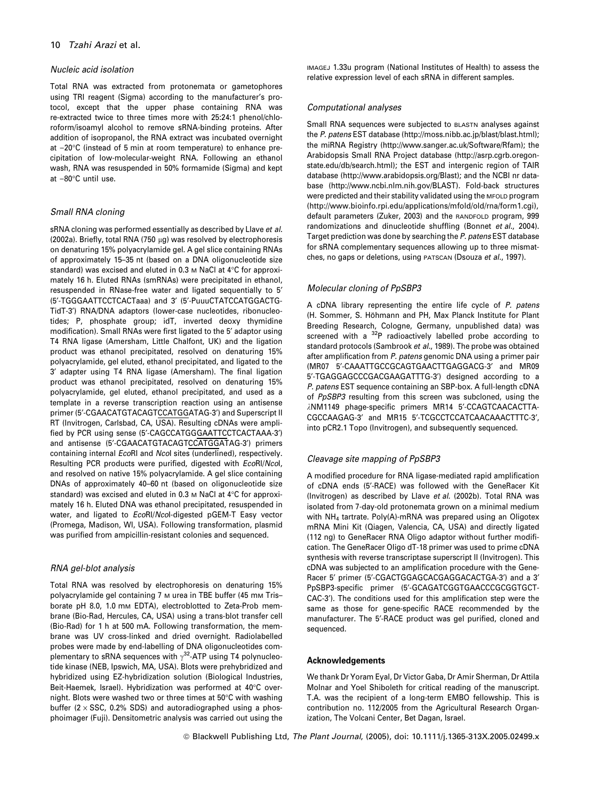#### Nucleic acid isolation

Total RNA was extracted from protonemata or gametophores using TRI reagent (Sigma) according to the manufacturer's protocol, except that the upper phase containing RNA was re-extracted twice to three times more with 25:24:1 phenol/chloroform/isoamyl alcohol to remove sRNA-binding proteins. After addition of isopropanol, the RNA extract was incubated overnight at  $-20^{\circ}$ C (instead of 5 min at room temperature) to enhance precipitation of low-molecular-weight RNA. Following an ethanol wash, RNA was resuspended in 50% formamide (Sigma) and kept at  $-80^{\circ}$ C until use.

### Small RNA cloning

sRNA cloning was performed essentially as described by Llave et al. (2002a). Briefly, total RNA (750  $\mu$ g) was resolved by electrophoresis on denaturing 15% polyacrylamide gel. A gel slice containing RNAs of approximately 15–35 nt (based on a DNA oligonucleotide size standard) was excised and eluted in 0.3 m NaCl at  $4^{\circ}$ C for approximately 16 h. Eluted RNAs (smRNAs) were precipitated in ethanol, resuspended in RNase-free water and ligated sequentially to 5' (5¢-TGGGAATTCCTCACTaaa) and 3¢ (5¢-PuuuCTATCCATGGACTG-TidT-3') RNA/DNA adaptors (lower-case nucleotides, ribonucleotides; P, phosphate group; idT, inverted deoxy thymidine modification). Small RNAs were first ligated to the 5' adaptor using T4 RNA ligase (Amersham, Little Chalfont, UK) and the ligation product was ethanol precipitated, resolved on denaturing 15% polyacrylamide, gel eluted, ethanol precipitated, and ligated to the 3¢ adapter using T4 RNA ligase (Amersham). The final ligation product was ethanol precipitated, resolved on denaturing 15% polyacrylamide, gel eluted, ethanol precipitated, and used as a template in a reverse transcription reaction using an antisense primer (5'-CGAACATGTACAGTCCATGGATAG-3') and Superscript II RT (Invitrogen, Carlsbad, CA, USA). Resulting cDNAs were amplified by PCR using sense (5'-CAGCCATGGGAATTCCTCACTAAA-3') and antisense (5'-CGAACATGTACAGTCCATGGATAG-3') primers containing internal EcoRI and Ncol sites (underlined), respectively. Resulting PCR products were purified, digested with EcoRI/NcoI, and resolved on native 15% polyacrylamide. A gel slice containing DNAs of approximately 40–60 nt (based on oligonucleotide size standard) was excised and eluted in 0.3 m NaCl at  $4^{\circ}$ C for approximately 16 h. Eluted DNA was ethanol precipitated, resuspended in water, and ligated to EcoRI/Ncol-digested pGEM-T Easy vector (Promega, Madison, WI, USA). Following transformation, plasmid was purified from ampicillin-resistant colonies and sequenced.

#### RNA gel-blot analysis

Total RNA was resolved by electrophoresis on denaturing 15% polyacrylamide gel containing 7 m urea in TBE buffer (45 mm Trisborate pH 8.0, 1.0 mm EDTA), electroblotted to Zeta-Prob membrane (Bio-Rad, Hercules, CA, USA) using a trans-blot transfer cell (Bio-Rad) for 1 h at 500 mA. Following transformation, the membrane was UV cross-linked and dried overnight. Radiolabelled probes were made by end-labelling of DNA oligonucleotides complementary to sRNA sequences with  $\gamma^{32}$ -ATP using T4 polynucleotide kinase (NEB, Ipswich, MA, USA). Blots were prehybridized and hybridized using EZ-hybridization solution (Biological Industries, Beit-Haemek, Israel). Hybridization was performed at 40°C overnight. Blots were washed two or three times at 50°C with washing buffer  $(2 \times SSC, 0.2\% SDS)$  and autoradiographed using a phosphoimager (Fuji). Densitometric analysis was carried out using the

IMAGEJ 1.33u program (National Institutes of Health) to assess the relative expression level of each sRNA in different samples.

#### Computational analyses

Small RNA sequences were subjected to BLASTN analyses against the P. patens EST database (http://moss.nibb.ac.jp/blast/blast.html); the miRNA Registry (http://www.sanger.ac.uk/Software/Rfam); the Arabidopsis Small RNA Project database (http://asrp.cgrb.oregonstate.edu/db/search.html); the EST and intergenic region of TAIR database (http://www.arabidopsis.org/Blast); and the NCBI nr database (http://www.ncbi.nlm.nih.gov/BLAST). Fold-back structures were predicted and their stability validated using the MFOLD program (http://www.bioinfo.rpi.edu/applications/mfold/old/rna/form1.cgi), default parameters (Zuker, 2003) and the RANDFOLD program, 999 randomizations and dinucleotide shuffling (Bonnet et al., 2004). Target prediction was done by searching the P. patens EST database for sRNA complementary sequences allowing up to three mismatches, no gaps or deletions, using PATSCAN (Dsouza et al., 1997).

## Molecular cloning of PpSBP3

A cDNA library representing the entire life cycle of P. patens (H. Sommer, S. Höhmann and PH, Max Planck Institute for Plant Breeding Research, Cologne, Germany, unpublished data) was screened with a <sup>32</sup>P radioactively labelled probe according to standard protocols (Sambrook et al., 1989). The probe was obtained after amplification from P. patens genomic DNA using a primer pair (MR07 5'-CAAATTGCCGCAGTGAACTTGAGGACG-3' and MR09 5¢-TGAGGAGCCCGACGAAGATTTG-3¢) designed according to a P. patens EST sequence containing an SBP-box. A full-length cDNA of PpSBP3 resulting from this screen was subcloned, using the *k*NM1149 phage-specific primers MR14 5¢-CCAGTCAACACTTA-CGCCAAGAG-3<sup>'</sup> and MR15 5'-TCGCCTCCATCAACAAACTTTC-3', into pCR2.1 Topo (Invitrogen), and subsequently sequenced.

#### Cleavage site mapping of PpSBP3

A modified procedure for RNA ligase-mediated rapid amplification of cDNA ends (5¢-RACE) was followed with the GeneRacer Kit (Invitrogen) as described by Llave et al. (2002b). Total RNA was isolated from 7-day-old protonemata grown on a minimal medium with NH<sub>4</sub> tartrate. Poly(A)-mRNA was prepared using an Oligotex mRNA Mini Kit (Qiagen, Valencia, CA, USA) and directly ligated (112 ng) to GeneRacer RNA Oligo adaptor without further modification. The GeneRacer Oligo dT-18 primer was used to prime cDNA synthesis with reverse transcriptase superscript II (Invitrogen). This cDNA was subjected to an amplification procedure with the Gene-Racer 5' primer (5'-CGACTGGAGCACGAGGACACTGA-3') and a 3' PpSBP3-specific primer (5'-GCAGATCGGTGAACCCGCGGTGCT-CAC-3<sup>'</sup>). The conditions used for this amplification step were the same as those for gene-specific RACE recommended by the manufacturer. The 5'-RACE product was gel purified, cloned and sequenced.

#### Acknowledgements

We thank Dr Yoram Eyal, Dr Victor Gaba, Dr Amir Sherman, Dr Attila Molnar and Yoel Shiboleth for critical reading of the manuscript. T.A. was the recipient of a long-term EMBO fellowship. This is contribution no. 112/2005 from the Agricultural Research Organization, The Volcani Center, Bet Dagan, Israel.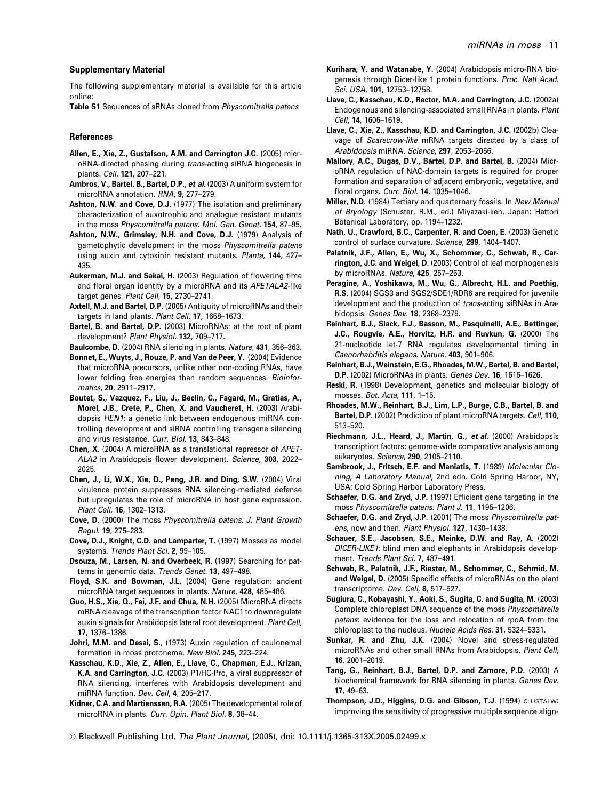#### Supplementary Material

The following supplementary material is available for this article online:

Table S1 Sequences of sRNAs cloned from Physcomitrella patens

#### References

- Allen, E., Xie, Z., Gustafson, A.M. and Carrington J.C. (2005) microRNA-directed phasing during trans-acting siRNA biogenesis in plants. Cell, 121, 207–221.
- Ambros, V., Bartel, B., Bartel, D.P., et al. (2003) A uniform system for microRNA annotation. RNA, 9, 277–279.
- Ashton, N.W. and Cove, D.J. (1977) The isolation and preliminary characterization of auxotrophic and analogue resistant mutants in the moss Physcomitrella patens. Mol. Gen. Genet. 154, 87–95.
- Ashton, N.W., Grimsley, N.H. and Cove, D.J. (1979) Analysis of gametophytic development in the moss Physcomitrella patens using auxin and cytokinin resistant mutants. Planta, 144, 427-435.
- Aukerman, M.J. and Sakai, H. (2003) Regulation of flowering time and floral organ identity by a microRNA and its APETALA2-like target genes. Plant Cell, 15, 2730–2741.
- Axtell, M.J. and Bartel, D.P. (2005) Antiquity of microRNAs and their targets in land plants. Plant Cell, 17, 1658–1673.
- Bartel, B. and Bartel, D.P. (2003) MicroRNAs: at the root of plant development? Plant Physiol. 132, 709–717.
- Baulcombe, D. (2004) RNA silencing in plants. Nature, 431, 356–363.
- Bonnet, E., Wuyts, J., Rouze, P. and Van de Peer, Y. (2004) Evidence that microRNA precursors, unlike other non-coding RNAs, have lower folding free energies than random sequences. Bioinformatics, 20, 2911–2917.
- Boutet, S., Vazquez, F., Liu, J., Beclin, C., Fagard, M., Gratias, A., Morel, J.B., Crete, P., Chen, X. and Vaucheret, H. (2003) Arabidopsis HEN1: a genetic link between endogenous miRNA controlling development and siRNA controlling transgene silencing and virus resistance. Curr. Biol. 13, 843–848.
- Chen, X. (2004) A microRNA as a translational repressor of APET-ALA2 in Arabidopsis flower development. Science, 303, 2022– 2025.
- Chen, J., Li, W.X., Xie, D., Peng, J.R. and Ding, S.W. (2004) Viral virulence protein suppresses RNA silencing-mediated defense but upregulates the role of microRNA in host gene expression. Plant Cell, 16, 1302–1313.
- Cove, D. (2000) The moss Physcomitrella patens. J. Plant Growth Regul. 19, 275–283.
- Cove, D.J., Knight, C.D. and Lamparter, T. (1997) Mosses as model systems. Trends Plant Sci. 2, 99–105.
- Dsouza, M., Larsen, N. and Overbeek, R. (1997) Searching for patterns in genomic data. Trends Genet. 13, 497–498.
- Floyd, S.K. and Bowman, J.L. (2004) Gene regulation: ancient microRNA target sequences in plants. Nature, 428, 485–486.
- Guo, H.S., Xie, Q., Fei, J.F. and Chua, N.H. (2005) MicroRNA directs mRNA cleavage of the transcription factor NAC1 to downregulate auxin signals for Arabidopsis lateral root development. Plant Cell, 17, 1376–1386.
- Johri, M.M. and Desai, S., (1973) Auxin regulation of caulonemal formation in moss protonema. New Biol. 245, 223–224.
- Kasschau, K.D., Xie, Z., Allen, E., Llave, C., Chapman, E.J., Krizan, K.A. and Carrington, J.C. (2003) P1/HC-Pro, a viral suppressor of RNA silencing, interferes with Arabidopsis development and miRNA function. Dev. Cell, 4, 205–217.
- Kidner, C.A. and Martienssen, R.A. (2005) The developmental role of microRNA in plants. Curr. Opin. Plant Biol. 8, 38–44.
- Kurihara, Y. and Watanabe, Y. (2004) Arabidopsis micro-RNA biogenesis through Dicer-like 1 protein functions. Proc. Natl Acad. Sci. USA, 101, 12753–12758.
- Llave, C., Kasschau, K.D., Rector, M.A. and Carrington, J.C. (2002a) Endogenous and silencing-associated small RNAs in plants. Plant Cell, 14, 1605–1619.
- Llave, C., Xie, Z., Kasschau, K.D. and Carrington, J.C. (2002b) Cleavage of Scarecrow-like mRNA targets directed by a class of Arabidopsis miRNA. Science, 297, 2053-2056.
- Mallory, A.C., Dugas, D.V., Bartel, D.P. and Bartel, B. (2004) MicroRNA regulation of NAC-domain targets is required for proper formation and separation of adjacent embryonic, vegetative, and floral organs. Curr. Biol. 14, 1035–1046.
- Miller, N.D. (1984) Tertiary and quarternary fossils. In New Manual of Bryology (Schuster, R.M., ed.) Miyazaki-ken, Japan: Hattori Botanical Laboratory, pp. 1194–1232.
- Nath, U., Crawford, B.C., Carpenter, R. and Coen, E. (2003) Genetic control of surface curvature. Science, 299, 1404–1407.
- Palatnik, J.F., Allen, E., Wu, X., Schommer, C., Schwab, R., Carrington, J.C. and Weigel, D. (2003) Control of leaf morphogenesis by microRNAs. Nature, 425, 257–263.
- Peragine, A., Yoshikawa, M., Wu, G., Albrecht, H.L. and Poethig, R.S. (2004) SGS3 and SGS2/SDE1/RDR6 are required for juvenile development and the production of *trans*-acting siRNAs in Arabidopsis. Genes Dev. 18, 2368–2379.
- Reinhart, B.J., Slack, F.J., Basson, M., Pasquinelli, A.E., Bettinger, J.C., Rougvie, A.E., Horvitz, H.R. and Ruvkun, G. (2000) The 21-nucleotide let-7 RNA regulates developmental timing in Caenorhabditis elegans. Nature, 403, 901–906.
- Reinhart, B.J., Weinstein, E.G., Rhoades, M.W., Bartel, B. and Bartel, D.P. (2002) MicroRNAs in plants. Genes Dev. 16, 1616–1626.
- Reski, R. (1998) Development, genetics and molecular biology of mosses. Bot. Acta, 111, 1–15.
- Rhoades, M.W., Reinhart, B.J., Lim, L.P., Burge, C.B., Bartel, B. and Bartel, D.P. (2002) Prediction of plant microRNA targets. Cell, 110, 513–520.
- Riechmann, J.L., Heard, J., Martin, G., et al. (2000) Arabidopsis transcription factors: genome-wide comparative analysis among eukaryotes. Science, 290, 2105–2110.
- Sambrook, J., Fritsch, E.F. and Maniatis, T. (1989) Molecular Cloning, A Laboratory Manual, 2nd edn. Cold Spring Harbor, NY, USA: Cold Spring Harbor Laboratory Press.
- Schaefer, D.G. and Zryd, J.P. (1997) Efficient gene targeting in the moss Physcomitrella patens. Plant J. 11, 1195–1206.
- Schaefer, D.G. and Zryd, J.P. (2001) The moss Physcomitrella patens, now and then. Plant Physiol. 127, 1430–1438.
- Schauer, S.E., Jacobsen, S.E., Meinke, D.W. and Ray, A. (2002) DICER-LIKE1: blind men and elephants in Arabidopsis development. Trends Plant Sci. 7, 487-491.
- Schwab, R., Palatnik, J.F., Riester, M., Schommer, C., Schmid, M. and Weigel, D. (2005) Specific effects of microRNAs on the plant transcriptome. Dev. Cell, 8, 517–527.
- Sugiura, C., Kobayashi, Y., Aoki, S., Sugita, C. and Sugita, M. (2003) Complete chloroplast DNA sequence of the moss Physcomitrella patens: evidence for the loss and relocation of rpoA from the chloroplast to the nucleus. Nucleic Acids Res. 31, 5324–5331.
- Sunkar, R. and Zhu, J.K. (2004) Novel and stress-regulated microRNAs and other small RNAs from Arabidopsis. Plant Cell, 16, 2001–2019.
- Tang, G., Reinhart, B.J., Bartel, D.P. and Zamore, P.D. (2003) A biochemical framework for RNA silencing in plants. Genes Dev. 17, 49–63.
- Thompson, J.D., Higgins, D.G. and Gibson, T.J. (1994) CLUSTALW: improving the sensitivity of progressive multiple sequence align-
- © Blackwell Publishing Ltd, The Plant Journal, (2005), doi: 10.1111/j.1365-313X.2005.02499.x